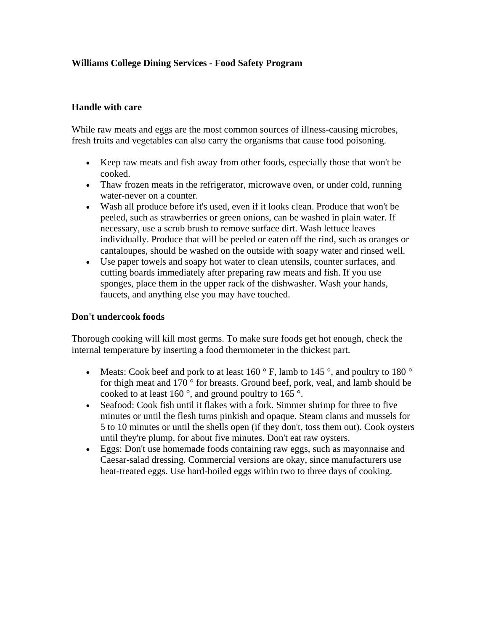# **Williams College Dining Services - Food Safety Program**

## **Handle with care**

While raw meats and eggs are the most common sources of illness-causing microbes, fresh fruits and vegetables can also carry the organisms that cause food poisoning.

- Keep raw meats and fish away from other foods, especially those that won't be cooked.
- Thaw frozen meats in the refrigerator, microwave oven, or under cold, running water-never on a counter.
- Wash all produce before it's used, even if it looks clean. Produce that won't be peeled, such as strawberries or green onions, can be washed in plain water. If necessary, use a scrub brush to remove surface dirt. Wash lettuce leaves individually. Produce that will be peeled or eaten off the rind, such as oranges or cantaloupes, should be washed on the outside with soapy water and rinsed well.
- Use paper towels and soapy hot water to clean utensils, counter surfaces, and cutting boards immediately after preparing raw meats and fish. If you use sponges, place them in the upper rack of the dishwasher. Wash your hands, faucets, and anything else you may have touched.

#### **Don't undercook foods**

Thorough cooking will kill most germs. To make sure foods get hot enough, check the internal temperature by inserting a food thermometer in the thickest part.

- Meats: Cook beef and pork to at least  $160^\circ$  F, lamb to  $145^\circ$ , and poultry to  $180^\circ$ for thigh meat and 170 ° for breasts. Ground beef, pork, veal, and lamb should be cooked to at least 160 °, and ground poultry to 165 °.
- Seafood: Cook fish until it flakes with a fork. Simmer shrimp for three to five minutes or until the flesh turns pinkish and opaque. Steam clams and mussels for 5 to 10 minutes or until the shells open (if they don't, toss them out). Cook oysters until they're plump, for about five minutes. Don't eat raw oysters.
- Eggs: Don't use homemade foods containing raw eggs, such as mayonnaise and Caesar-salad dressing. Commercial versions are okay, since manufacturers use heat-treated eggs. Use hard-boiled eggs within two to three days of cooking.